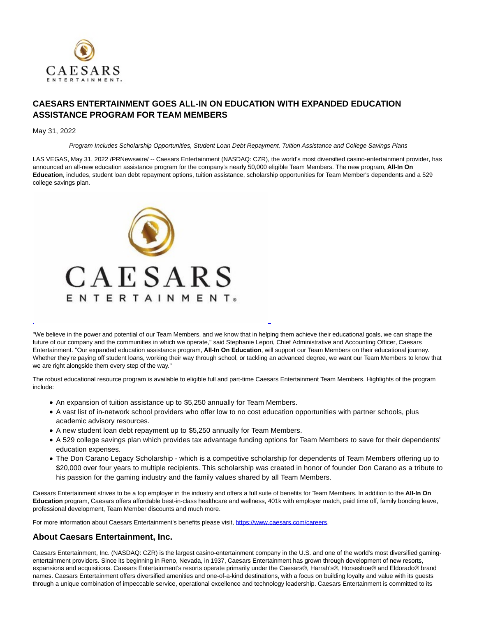

## **CAESARS ENTERTAINMENT GOES ALL-IN ON EDUCATION WITH EXPANDED EDUCATION ASSISTANCE PROGRAM FOR TEAM MEMBERS**

## May 31, 2022

Program Includes Scholarship Opportunities, Student Loan Debt Repayment, Tuition Assistance and College Savings Plans

LAS VEGAS, May 31, 2022 /PRNewswire/ -- Caesars Entertainment (NASDAQ: CZR), the world's most diversified casino-entertainment provider, has announced an all-new education assistance program for the company's nearly 50,000 eligible Team Members. The new program, **All-In On Education**, includes, student loan debt repayment options, tuition assistance, scholarship opportunities for Team Member's dependents and a 529 college savings plan.



"We believe in the power and potential of our Team Members, and we know that in helping them achieve their educational goals, we can shape the future of our company and the communities in which we operate," said Stephanie Lepori, Chief Administrative and Accounting Officer, Caesars Entertainment. "Our expanded education assistance program, **All-In On Education**, will support our Team Members on their educational journey. Whether they're paying off student loans, working their way through school, or tackling an advanced degree, we want our Team Members to know that we are right alongside them every step of the way."

 $\overline{a}$ 

The robust educational resource program is available to eligible full and part-time Caesars Entertainment Team Members. Highlights of the program include:

- An expansion of tuition assistance up to \$5,250 annually for Team Members.
- A vast list of in-network school providers who offer low to no cost education opportunities with partner schools, plus academic advisory resources.
- A new student loan debt repayment up to \$5,250 annually for Team Members.
- A 529 college savings plan which provides tax advantage funding options for Team Members to save for their dependents' education expenses.
- The Don Carano Legacy Scholarship which is a competitive scholarship for dependents of Team Members offering up to \$20,000 over four years to multiple recipients. This scholarship was created in honor of founder Don Carano as a tribute to his passion for the gaming industry and the family values shared by all Team Members.

Caesars Entertainment strives to be a top employer in the industry and offers a full suite of benefits for Team Members. In addition to the **All-In On Education** program, Caesars offers affordable best-in-class healthcare and wellness, 401k with employer match, paid time off, family bonding leave, professional development, Team Member discounts and much more.

For more information about Caesars Entertainment's benefits please visit, https://www.caesars.com/careers.

## **About Caesars Entertainment, Inc.**

Caesars Entertainment, Inc. (NASDAQ: CZR) is the largest casino-entertainment company in the U.S. and one of the world's most diversified gamingentertainment providers. Since its beginning in Reno, Nevada, in 1937, Caesars Entertainment has grown through development of new resorts, expansions and acquisitions. Caesars Entertainment's resorts operate primarily under the Caesars®, Harrah's®, Horseshoe® and Eldorado® brand names. Caesars Entertainment offers diversified amenities and one-of-a-kind destinations, with a focus on building loyalty and value with its guests through a unique combination of impeccable service, operational excellence and technology leadership. Caesars Entertainment is committed to its